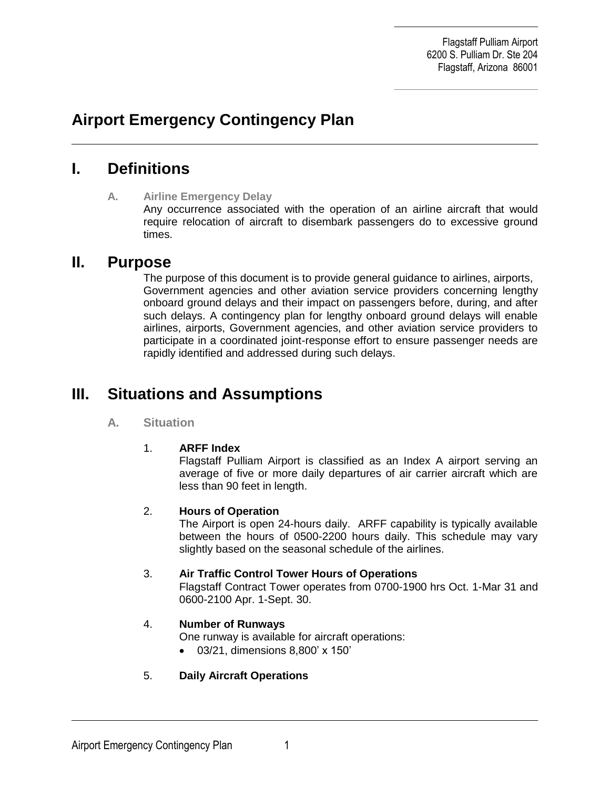Flagstaff Pulliam Airport 6200 S. Pulliam Dr. Ste 204 Flagstaff, Arizona 86001

# **Airport Emergency Contingency Plan**

# **I. Definitions**

### **A. Airline Emergency Delay**

Any occurrence associated with the operation of an airline aircraft that would require relocation of aircraft to disembark passengers do to excessive ground times.

## **II. Purpose**

The purpose of this document is to provide general guidance to airlines, airports, Government agencies and other aviation service providers concerning lengthy onboard ground delays and their impact on passengers before, during, and after such delays. A contingency plan for lengthy onboard ground delays will enable airlines, airports, Government agencies, and other aviation service providers to participate in a coordinated joint-response effort to ensure passenger needs are rapidly identified and addressed during such delays.

# **III. Situations and Assumptions**

#### **A. Situation**

#### 1. **ARFF Index**

Flagstaff Pulliam Airport is classified as an Index A airport serving an average of five or more daily departures of air carrier aircraft which are less than 90 feet in length.

#### 2. **Hours of Operation**

The Airport is open 24-hours daily. ARFF capability is typically available between the hours of 0500-2200 hours daily. This schedule may vary slightly based on the seasonal schedule of the airlines.

#### 3. **Air Traffic Control Tower Hours of Operations**

Flagstaff Contract Tower operates from 0700-1900 hrs Oct. 1-Mar 31 and 0600-2100 Apr. 1-Sept. 30.

## 4. **Number of Runways**

One runway is available for aircraft operations:

03/21, dimensions 8,800' x 150'

## 5. **Daily Aircraft Operations**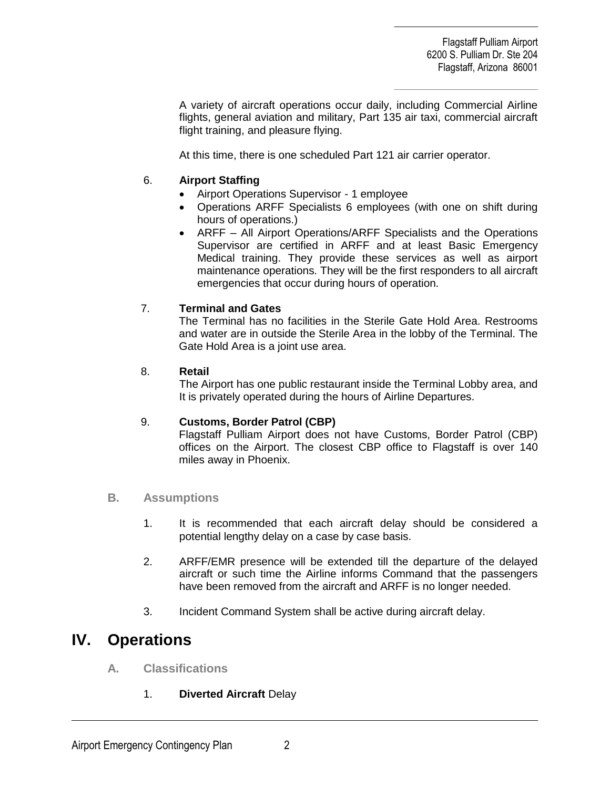Flagstaff Pulliam Airport 6200 S. Pulliam Dr. Ste 204 Flagstaff, Arizona 86001

A variety of aircraft operations occur daily, including Commercial Airline flights, general aviation and military, Part 135 air taxi, commercial aircraft flight training, and pleasure flying.

At this time, there is one scheduled Part 121 air carrier operator.

### 6. **Airport Staffing**

- Airport Operations Supervisor 1 employee
- Operations ARFF Specialists 6 employees (with one on shift during hours of operations.)
- ARFF All Airport Operations/ARFF Specialists and the Operations Supervisor are certified in ARFF and at least Basic Emergency Medical training. They provide these services as well as airport maintenance operations. They will be the first responders to all aircraft emergencies that occur during hours of operation.

## 7. **Terminal and Gates**

The Terminal has no facilities in the Sterile Gate Hold Area. Restrooms and water are in outside the Sterile Area in the lobby of the Terminal. The Gate Hold Area is a joint use area.

#### 8. **Retail**

The Airport has one public restaurant inside the Terminal Lobby area, and It is privately operated during the hours of Airline Departures.

#### 9. **Customs, Border Patrol (CBP)**

Flagstaff Pulliam Airport does not have Customs, Border Patrol (CBP) offices on the Airport. The closest CBP office to Flagstaff is over 140 miles away in Phoenix.

#### **B. Assumptions**

- 1. It is recommended that each aircraft delay should be considered a potential lengthy delay on a case by case basis.
- 2. ARFF/EMR presence will be extended till the departure of the delayed aircraft or such time the Airline informs Command that the passengers have been removed from the aircraft and ARFF is no longer needed.
- 3. Incident Command System shall be active during aircraft delay.

# **IV. Operations**

- **A. Classifications**
	- 1. **Diverted Aircraft** Delay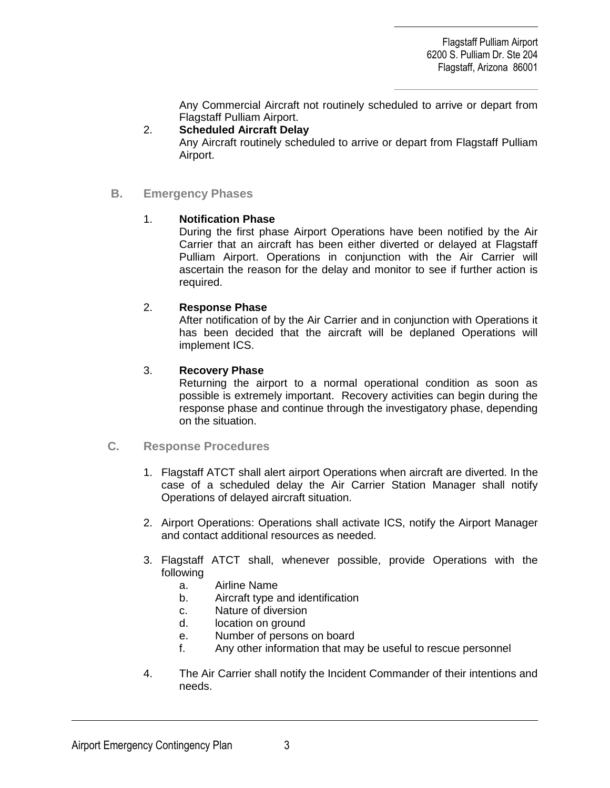Any Commercial Aircraft not routinely scheduled to arrive or depart from Flagstaff Pulliam Airport.

#### 2. **Scheduled Aircraft Delay**

Any Aircraft routinely scheduled to arrive or depart from Flagstaff Pulliam Airport.

#### **B. Emergency Phases**

#### 1. **Notification Phase**

During the first phase Airport Operations have been notified by the Air Carrier that an aircraft has been either diverted or delayed at Flagstaff Pulliam Airport. Operations in conjunction with the Air Carrier will ascertain the reason for the delay and monitor to see if further action is required.

#### 2. **Response Phase**

After notification of by the Air Carrier and in conjunction with Operations it has been decided that the aircraft will be deplaned Operations will implement ICS.

#### 3. **Recovery Phase**

Returning the airport to a normal operational condition as soon as possible is extremely important. Recovery activities can begin during the response phase and continue through the investigatory phase, depending on the situation.

#### **C. Response Procedures**

- 1. Flagstaff ATCT shall alert airport Operations when aircraft are diverted. In the case of a scheduled delay the Air Carrier Station Manager shall notify Operations of delayed aircraft situation.
- 2. Airport Operations: Operations shall activate ICS, notify the Airport Manager and contact additional resources as needed.
- 3. Flagstaff ATCT shall, whenever possible, provide Operations with the following
	- a. Airline Name
	- b. Aircraft type and identification
	- c. Nature of diversion
	- d. location on ground
	- e. Number of persons on board
	- f. Any other information that may be useful to rescue personnel
- 4. The Air Carrier shall notify the Incident Commander of their intentions and needs.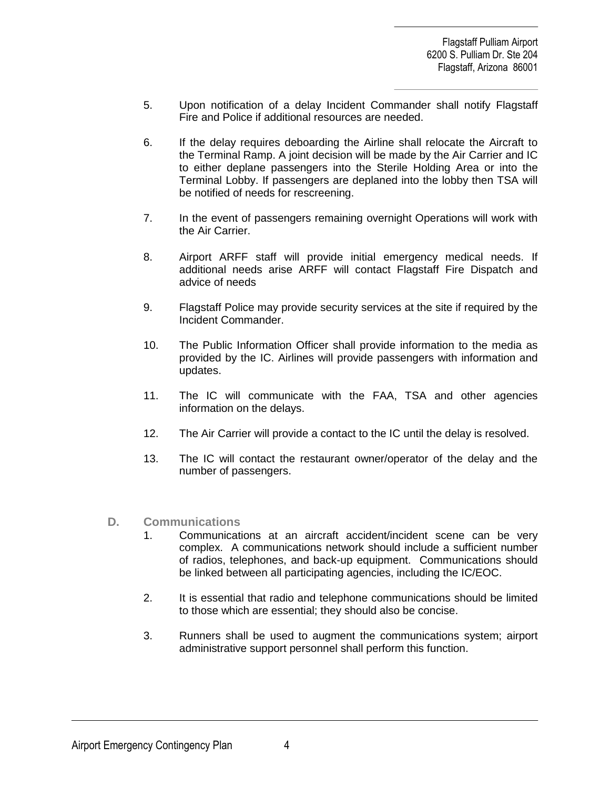- 5. Upon notification of a delay Incident Commander shall notify Flagstaff Fire and Police if additional resources are needed.
- 6. If the delay requires deboarding the Airline shall relocate the Aircraft to the Terminal Ramp. A joint decision will be made by the Air Carrier and IC to either deplane passengers into the Sterile Holding Area or into the Terminal Lobby. If passengers are deplaned into the lobby then TSA will be notified of needs for rescreening.
- 7. In the event of passengers remaining overnight Operations will work with the Air Carrier.
- 8. Airport ARFF staff will provide initial emergency medical needs. If additional needs arise ARFF will contact Flagstaff Fire Dispatch and advice of needs
- 9. Flagstaff Police may provide security services at the site if required by the Incident Commander.
- 10. The Public Information Officer shall provide information to the media as provided by the IC. Airlines will provide passengers with information and updates.
- 11. The IC will communicate with the FAA, TSA and other agencies information on the delays.
- 12. The Air Carrier will provide a contact to the IC until the delay is resolved.
- 13. The IC will contact the restaurant owner/operator of the delay and the number of passengers.
- **D. Communications**
	- 1. Communications at an aircraft accident/incident scene can be very complex. A communications network should include a sufficient number of radios, telephones, and back-up equipment. Communications should be linked between all participating agencies, including the IC/EOC.
	- 2. It is essential that radio and telephone communications should be limited to those which are essential; they should also be concise.
	- 3. Runners shall be used to augment the communications system; airport administrative support personnel shall perform this function.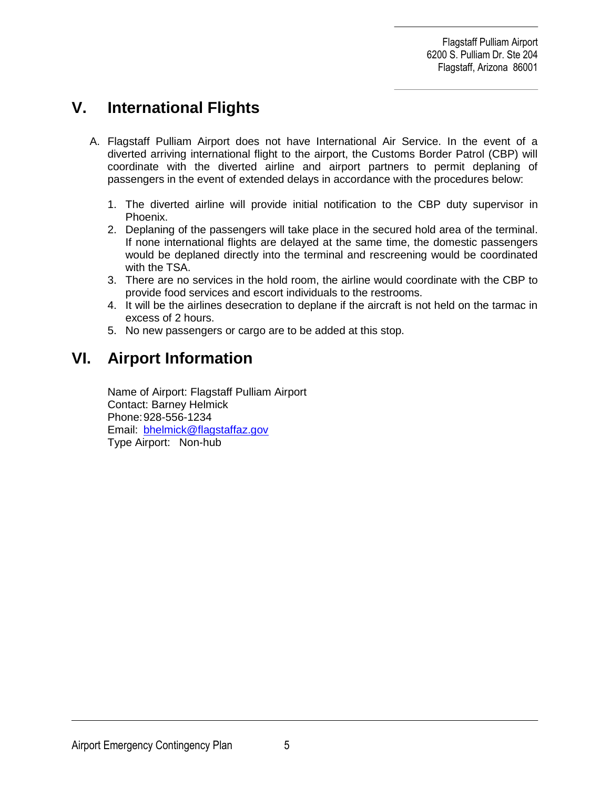# **V. International Flights**

- A. Flagstaff Pulliam Airport does not have International Air Service. In the event of a diverted arriving international flight to the airport, the Customs Border Patrol (CBP) will coordinate with the diverted airline and airport partners to permit deplaning of passengers in the event of extended delays in accordance with the procedures below:
	- 1. The diverted airline will provide initial notification to the CBP duty supervisor in Phoenix.
	- 2. Deplaning of the passengers will take place in the secured hold area of the terminal. If none international flights are delayed at the same time, the domestic passengers would be deplaned directly into the terminal and rescreening would be coordinated with the TSA.
	- 3. There are no services in the hold room, the airline would coordinate with the CBP to provide food services and escort individuals to the restrooms.
	- 4. It will be the airlines desecration to deplane if the aircraft is not held on the tarmac in excess of 2 hours.
	- 5. No new passengers or cargo are to be added at this stop.

# **VI. Airport Information**

Name of Airport: Flagstaff Pulliam Airport Contact: Barney Helmick Phone:928-556-1234 Email: [bhelmick@flagstaffaz.gov](mailto:bhelmick@flagstaffaz.gov) Type Airport: Non-hub